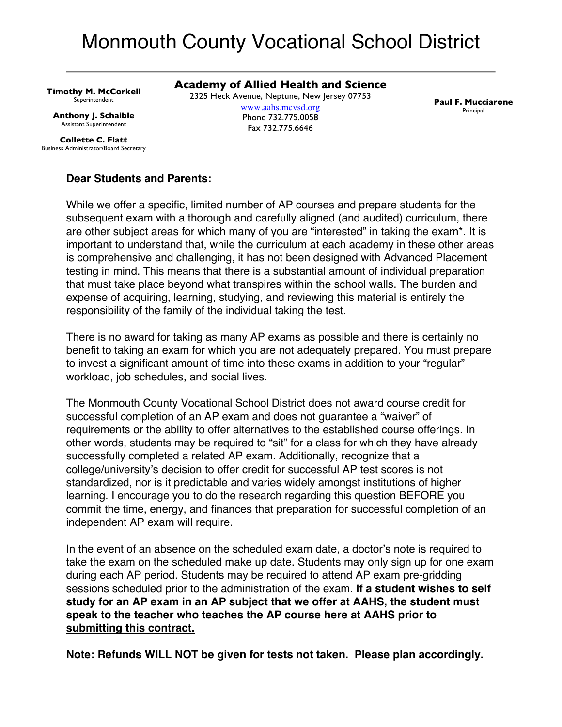# Monmouth County Vocational School District

**Timothy M. McCorkell** Superintendent

**Anthony J. Schaible** Assistant Superintendent

**Collette C. Flatt** Business Administrator/Board Secretary **Academy of Allied Health and Science** 2325 Heck Avenue, Neptune, New Jersey 07753 www.aahs.mcvsd.org Phone 732.775.0058 Fax 732.775.6646

**Paul F. Mucciarone** Principal

# **Dear Students and Parents:**

While we offer a specific, limited number of AP courses and prepare students for the subsequent exam with a thorough and carefully aligned (and audited) curriculum, there are other subject areas for which many of you are "interested" in taking the exam\*. It is important to understand that, while the curriculum at each academy in these other areas is comprehensive and challenging, it has not been designed with Advanced Placement testing in mind. This means that there is a substantial amount of individual preparation that must take place beyond what transpires within the school walls. The burden and expense of acquiring, learning, studying, and reviewing this material is entirely the responsibility of the family of the individual taking the test.

There is no award for taking as many AP exams as possible and there is certainly no benefit to taking an exam for which you are not adequately prepared. You must prepare to invest a significant amount of time into these exams in addition to your "regular" workload, job schedules, and social lives.

The Monmouth County Vocational School District does not award course credit for successful completion of an AP exam and does not guarantee a "waiver" of requirements or the ability to offer alternatives to the established course offerings. In other words, students may be required to "sit" for a class for which they have already successfully completed a related AP exam. Additionally, recognize that a college/university's decision to offer credit for successful AP test scores is not standardized, nor is it predictable and varies widely amongst institutions of higher learning. I encourage you to do the research regarding this question BEFORE you commit the time, energy, and finances that preparation for successful completion of an independent AP exam will require.

In the event of an absence on the scheduled exam date, a doctor's note is required to take the exam on the scheduled make up date. Students may only sign up for one exam during each AP period. Students may be required to attend AP exam pre-gridding sessions scheduled prior to the administration of the exam. **If a student wishes to self study for an AP exam in an AP subject that we offer at AAHS, the student must speak to the teacher who teaches the AP course here at AAHS prior to submitting this contract.**

**Note: Refunds WILL NOT be given for tests not taken. Please plan accordingly.**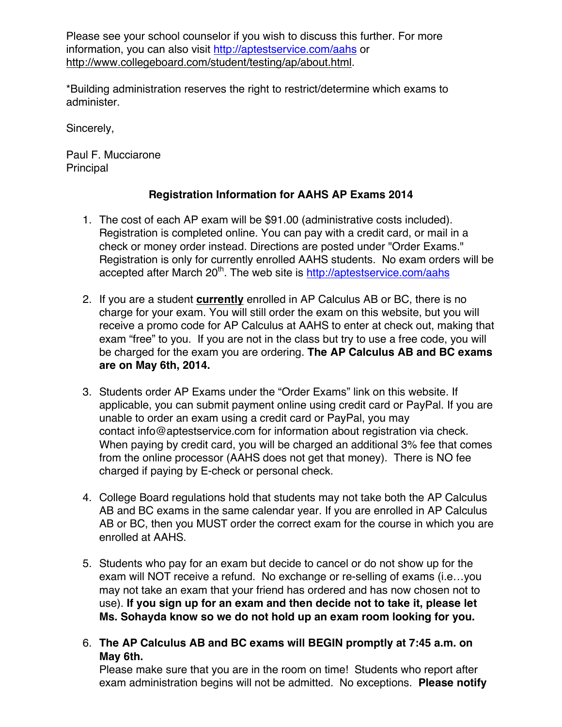Please see your school counselor if you wish to discuss this further. For more information, you can also visit http://aptestservice.com/aahs or http://www.collegeboard.com/student/testing/ap/about.html.

\*Building administration reserves the right to restrict/determine which exams to administer.

Sincerely,

Paul F. Mucciarone Principal

# **Registration Information for AAHS AP Exams 2014**

- 1. The cost of each AP exam will be \$91.00 (administrative costs included). Registration is completed online. You can pay with a credit card, or mail in a check or money order instead. Directions are posted under "Order Exams." Registration is only for currently enrolled AAHS students. No exam orders will be accepted after March  $20<sup>th</sup>$ . The web site is http://aptestservice.com/aahs
- 2. If you are a student **currently** enrolled in AP Calculus AB or BC, there is no charge for your exam. You will still order the exam on this website, but you will receive a promo code for AP Calculus at AAHS to enter at check out, making that exam "free" to you. If you are not in the class but try to use a free code, you will be charged for the exam you are ordering. **The AP Calculus AB and BC exams are on May 6th, 2014.**
- 3. Students order AP Exams under the "Order Exams" link on this website. If applicable, you can submit payment online using credit card or PayPal. If you are unable to order an exam using a credit card or PayPal, you may contact info@aptestservice.com for information about registration via check. When paying by credit card, you will be charged an additional 3% fee that comes from the online processor (AAHS does not get that money). There is NO fee charged if paying by E-check or personal check.
- 4. College Board regulations hold that students may not take both the AP Calculus AB and BC exams in the same calendar year. If you are enrolled in AP Calculus AB or BC, then you MUST order the correct exam for the course in which you are enrolled at AAHS.
- 5. Students who pay for an exam but decide to cancel or do not show up for the exam will NOT receive a refund. No exchange or re-selling of exams (i.e…you may not take an exam that your friend has ordered and has now chosen not to use). **If you sign up for an exam and then decide not to take it, please let Ms. Sohayda know so we do not hold up an exam room looking for you.**
- 6. **The AP Calculus AB and BC exams will BEGIN promptly at 7:45 a.m. on May 6th.**

Please make sure that you are in the room on time! Students who report after exam administration begins will not be admitted. No exceptions. **Please notify**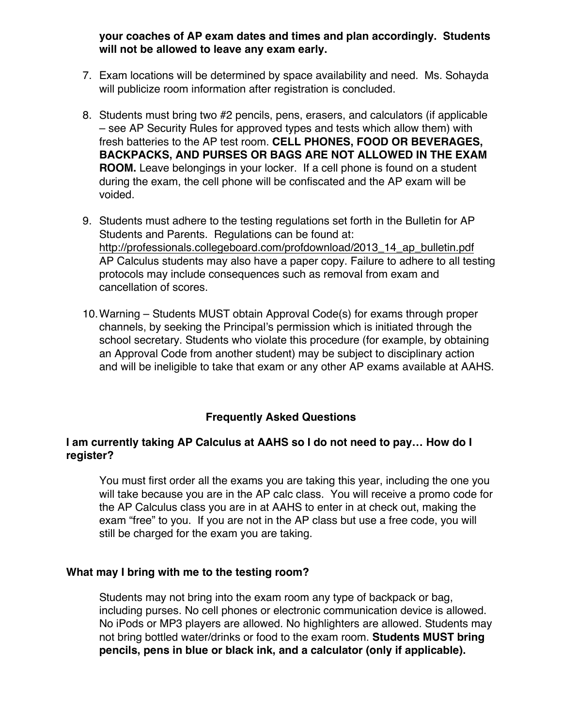## **your coaches of AP exam dates and times and plan accordingly. Students will not be allowed to leave any exam early.**

- 7. Exam locations will be determined by space availability and need. Ms. Sohayda will publicize room information after registration is concluded.
- 8. Students must bring two #2 pencils, pens, erasers, and calculators (if applicable – see AP Security Rules for approved types and tests which allow them) with fresh batteries to the AP test room. **CELL PHONES, FOOD OR BEVERAGES, BACKPACKS, AND PURSES OR BAGS ARE NOT ALLOWED IN THE EXAM ROOM.** Leave belongings in your locker. If a cell phone is found on a student during the exam, the cell phone will be confiscated and the AP exam will be voided.
- 9. Students must adhere to the testing regulations set forth in the Bulletin for AP Students and Parents. Regulations can be found at: http://professionals.collegeboard.com/profdownload/2013\_14\_ap\_bulletin.pdf AP Calculus students may also have a paper copy. Failure to adhere to all testing protocols may include consequences such as removal from exam and cancellation of scores.
- 10.Warning Students MUST obtain Approval Code(s) for exams through proper channels, by seeking the Principal's permission which is initiated through the school secretary. Students who violate this procedure (for example, by obtaining an Approval Code from another student) may be subject to disciplinary action and will be ineligible to take that exam or any other AP exams available at AAHS.

## **Frequently Asked Questions**

# **I am currently taking AP Calculus at AAHS so I do not need to pay… How do I register?**

You must first order all the exams you are taking this year, including the one you will take because you are in the AP calc class. You will receive a promo code for the AP Calculus class you are in at AAHS to enter in at check out, making the exam "free" to you. If you are not in the AP class but use a free code, you will still be charged for the exam you are taking.

## **What may I bring with me to the testing room?**

Students may not bring into the exam room any type of backpack or bag, including purses. No cell phones or electronic communication device is allowed. No iPods or MP3 players are allowed. No highlighters are allowed. Students may not bring bottled water/drinks or food to the exam room. **Students MUST bring pencils, pens in blue or black ink, and a calculator (only if applicable).**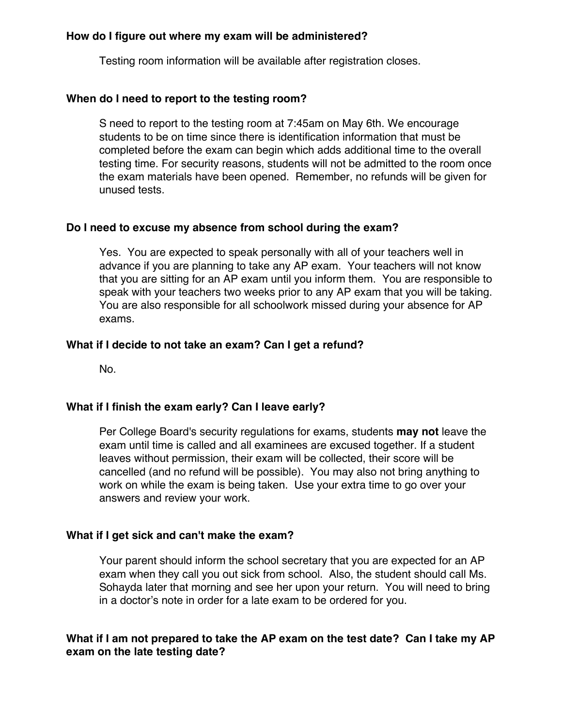#### **How do I figure out where my exam will be administered?**

Testing room information will be available after registration closes.

#### **When do I need to report to the testing room?**

S need to report to the testing room at 7:45am on May 6th. We encourage students to be on time since there is identification information that must be completed before the exam can begin which adds additional time to the overall testing time. For security reasons, students will not be admitted to the room once the exam materials have been opened. Remember, no refunds will be given for unused tests.

#### **Do I need to excuse my absence from school during the exam?**

Yes. You are expected to speak personally with all of your teachers well in advance if you are planning to take any AP exam. Your teachers will not know that you are sitting for an AP exam until you inform them. You are responsible to speak with your teachers two weeks prior to any AP exam that you will be taking. You are also responsible for all schoolwork missed during your absence for AP exams.

#### **What if I decide to not take an exam? Can I get a refund?**

No.

#### **What if I finish the exam early? Can I leave early?**

Per College Board's security regulations for exams, students **may not** leave the exam until time is called and all examinees are excused together. If a student leaves without permission, their exam will be collected, their score will be cancelled (and no refund will be possible). You may also not bring anything to work on while the exam is being taken. Use your extra time to go over your answers and review your work.

#### **What if I get sick and can't make the exam?**

Your parent should inform the school secretary that you are expected for an AP exam when they call you out sick from school. Also, the student should call Ms. Sohayda later that morning and see her upon your return. You will need to bring in a doctor's note in order for a late exam to be ordered for you.

# **What if I am not prepared to take the AP exam on the test date? Can I take my AP exam on the late testing date?**